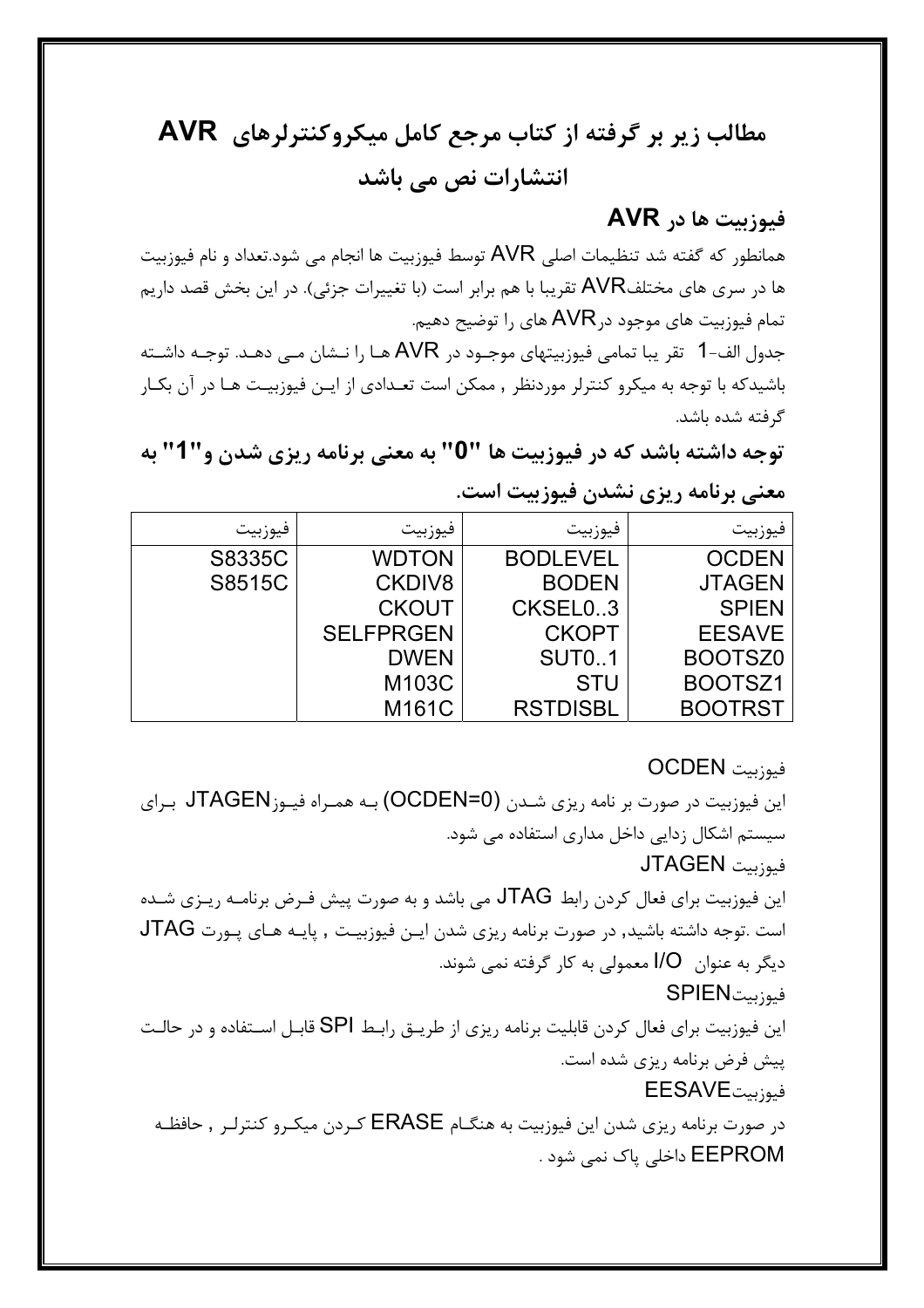## مطالب زیر بر گرفته از کتاب مرجع کامل میکروکنترلرهای AVR انتشارات نص می باشد

## فيوزبيت ها در AVR

همانطور که گفته شد تنظیمات اصلی AVR توسط فیوزبیت ها انجام می شود.تعداد و نام فیوزبیت ها در سری های مختلفAVR تقریبا با هم برابر است (با تغییرات جزئی). در این بخش قصد داریم تمام فیوزبیت های موجود در AVR های را توضیح دهیم.

جدول الف-1 تقر يبا تمامي فيوزبيتهاي موجــود در AVR هــا را نــشان مــي دهــد. توجــه داشــته باشیدکه با توجه به میکرو کنترلر موردنظر , ممکن است تعـدادی از ایـن فیوزبیـت هـا در آن بکـار گ فته شده باشد.

توجه داشته باشد که در فیوزبیت ها "0" به معنی برنامه ریزی شدن و"1" به معنی برنامه ریزی نشدن فیوزبیت است.

| فيوزبيت | فيوزبيت          | فيوزبيت         | فيوزبيت        |
|---------|------------------|-----------------|----------------|
| S8335C  | <b>WDTON</b>     | <b>BODLEVEL</b> | <b>OCDEN</b>   |
| S8515C  | <b>CKDIV8</b>    | <b>BODEN</b>    | <b>JTAGEN</b>  |
|         | <b>CKOUT</b>     | CKSEL0.3        | <b>SPIEN</b>   |
|         | <b>SELFPRGEN</b> | <b>CKOPT</b>    | <b>EESAVE</b>  |
|         | <b>DWEN</b>      | <b>SUT01</b>    | BOOTSZ0        |
|         | M103C            | <b>STU</b>      | BOOTSZ1        |
|         | M161C            | <b>RSTDISBL</b> | <b>BOOTRST</b> |

فىوزىت OCDEN

این فیوزبیت در صورت بر نامه ریزی شـدن (OCDEN=0) بـه همـراه فیـوزJTAGEN بـرای سیستم اشکال زدایی داخل مداری استفاده می شود. فيوزيت JTAGEN این فیوزبیت برای فعال کردن رابط JTAG می باشد و به صورت پیش فـرض برنامـه ریـزی شـده است .توجه داشته باشید, در صورت برنامه ریزی شدن ایـن فیوزبیـت , پایـه هـای پـورت JTAG دیگر به عنوان I/O معمولی به کار گرفته نمی شوند. فيوزبيتSPIEN این فیوزبیت برای فعال کردن قابلیت برنامه ریزی از طریــق رابـط SPI قابـل اســتفاده و در حالـت پیش فرض برنامه ریزی شده است. فيوزينتEESAVE در صورت برنامه ریزی شدن این فیوزبیت به هنگــام ERASE كـردن میكـرو كنترلـر , حافظــه EEPROM داخلی پاک نمی شود .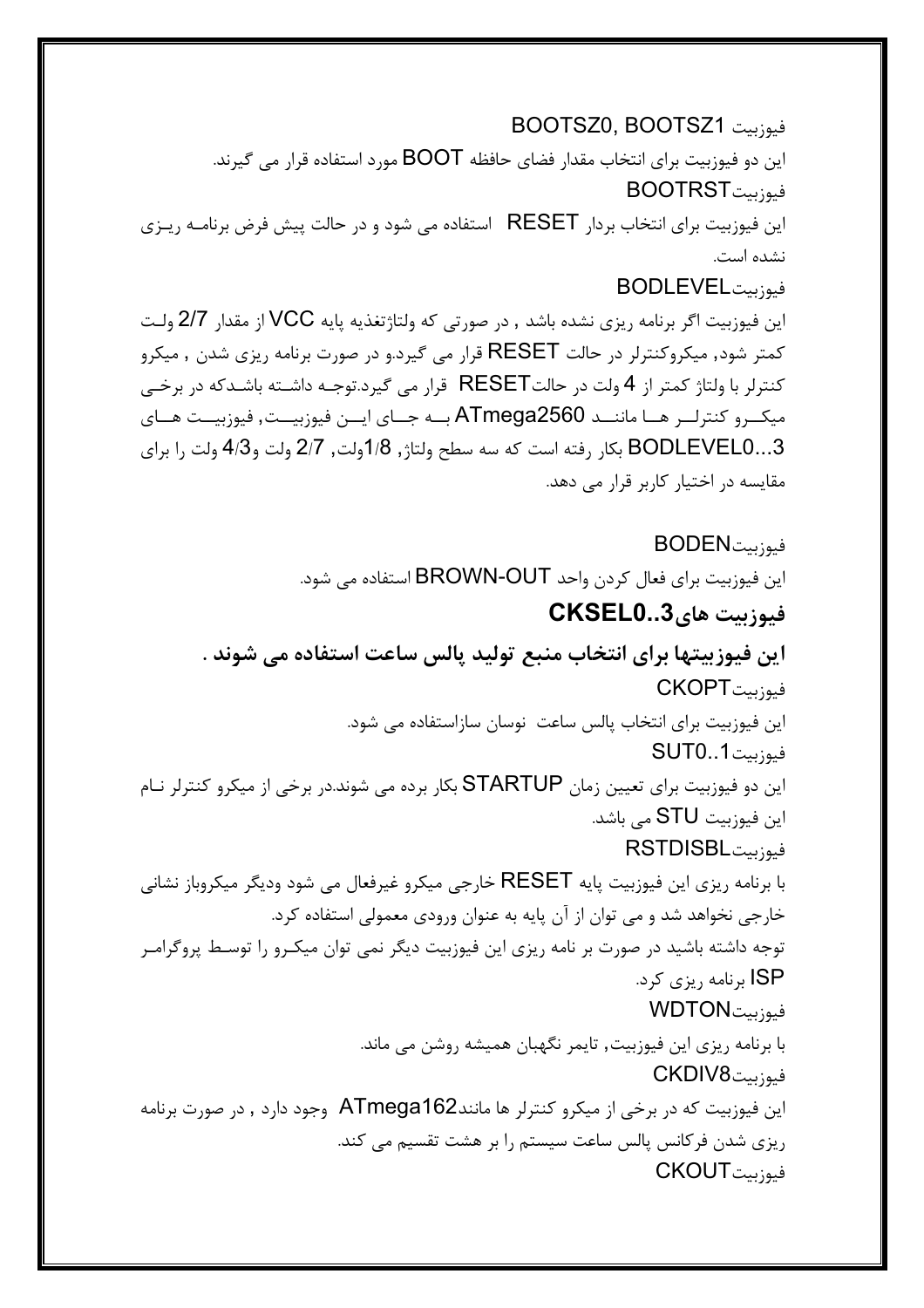فىوزىت BOOTSZ0, BOOTSZ1 این دو فیوزبیت برای انتخاب مقدار فضای حافظه BOOT مورد استفاده قرار می گیرند. فيوزبيتBOOTRST این فیوزبیت برای انتخاب بردار RESET استفاده می شود و در حالت پیش فرض برنامـه ریـزی نشده است. فيوزيتتBODLEVEL این فیوزبیت اگر برنامه ریزی نشده باشد , در صورتی که ولتاژتغذیه پایه VCC از مقدار 2/7 ولـت

کمتر شود, میکروکنترلر در حالت RESET قرار می گیرد.و در صورت برنامه ریزی شدن , میکرو کنترلر با ولتاژ کمتر از 4 ولت در حالتRESET قرار می گیرد.توجـه داشـته باشـدکه در برخـی میکــرو کنترلــر هــا ماننــد ATmega2560 بــه جــای ایــن فیوزبیــت, فیوزبیــت هــای BODLEVEL0...3 بكار رفته است كه سه سطح ولتاژ, 1/8ولت, 2/7 ولت و4/3 ولت را براي مقایسه در اختیار کاربر قرار می دهد.

فيوزبيتBODEN این فیوزبیت برای فعال کردن واحد BROWN-OUT استفاده می شود. فيوزيت هاي CKSEL0..3 این فیوزبیتها برای انتخاب منبع تولید پالس ساعت استفاده می شوند . فيوزيت CKOPT این فیوزبیت برای انتخاب پالس ساعت نوسان سازاستفاده می شود. فيوزبيت SUT0..1 این دو فیوزبیت برای تعیین زمان STARTUP بکار برده می شوند.در برخی از میکرو کنترلر نــام این فیوزبیت STU می باشد. فىوزىتRSTDISBL با برنامه ریزی این فیوزبیت پایه RESET خارجی میکرو غیرفعال می شود ودیگر میکروباز نشانی خارجي نخواهد شد و مي توان از آن پايه به عنوان ورودي معمولي استفاده كرد. توجه داشته باشید در صورت بر نامه ریزی این فیوزبیت دیگر نمی توان میکـرو را توسـط پروگرامـر ISP برنامه <sub>د</sub>یزی کرد. فيوزيتWDTON با برنامه ریزی این فیوزبیت, تایمر نگهبان همیشه روشن می ماند. فيوزييتCKDIV8 این فیوزبیت که در برخی از میکرو کنترلر ها مانندATmega162 وجود دارد , در صورت برنامه ریزی شدن فرکانس پالس ساعت سیستم را بر هشت تقسیم می کند. فيوزبيت CKOUT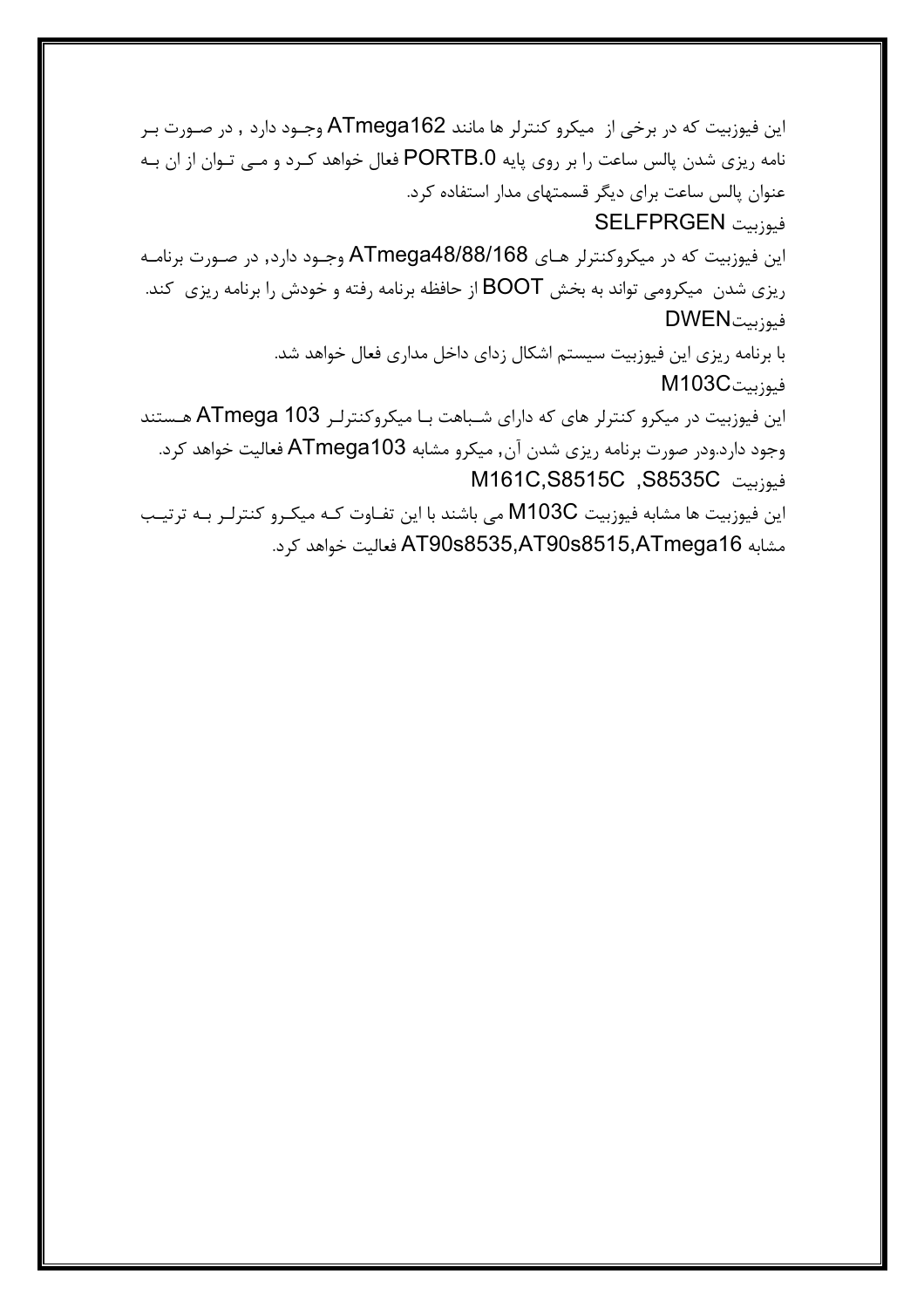این فیوزبیت که در برخی از میکرو کنترلر ها مانند ATmega162 وجـود دارد , در صـورت بـر نامه ریزی شدن پالس ساعت را بر روی پایه PORTB.0 فعال خواهد کـرد و مـی تـوان از ان بـه عنوان پالس ساعت برای دیگر قسمتهای مدار استفاده کرد. فيوزبيت SELFPRGEN این فیوزبیت که در میکروکنترلر هـای ATmega48/88/168 وجـود دارد, در صـورت برنامـه ریزی شدن ِ میکرومی تواند به بخش BOOT از حافظه برنامه رفته و خودش را برنامه ریزی ِ کند. فيوزبيتDWEN با برنامه ریزی این فیوزبیت سیستم اشکال زدای داخل مداری فعال خواهد شد. فيوزبيتM103C این فیوزبیت در میکرو کنترلر های که دارای شباهت با میکروکنترلر ATmega 103 هستند وجود دارد.ودر صورت برنامه ریزی شدن آن, میکرو مشابه ATmega103 فعالیت خواهد کرد. فيوزبيت S8535C, M161C,S8515C این فیوزبیت ها مشابه فیوزبیت M103C می باشند با این تفـاوت کـه میکـرو کنترلـر بـه ترتیـب

مشابه AT90s8535,AT90s8515,ATmega16 فعاليت خواهد كرد.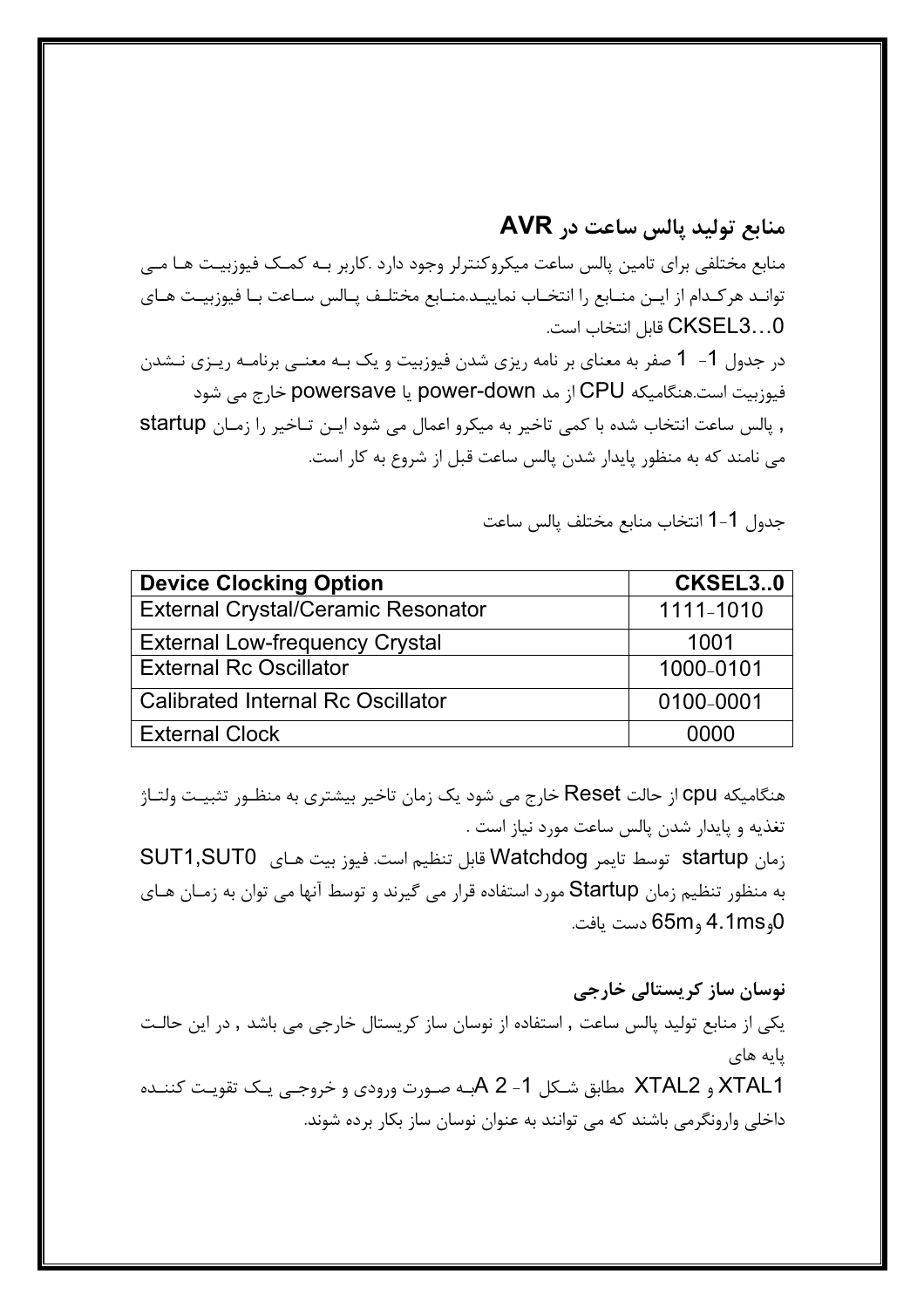منابع توليد پالس ساعت در AVR منابع مختلفی برای تامین پالس ساعت میکروکنترلر وجود دارد .کاربر بـه کمـک فیوزبیـت هـا مـی توانـد هركـدام از ايـن منــابع را انتخــاب نماييــد.منــابع مختلـف پــالس ســاعت بــا فيوزبيــت هــاي CKSEL3...0 قابل انتخاب است. در جدول 1- 1 صفر به معنای بر نامه ریزی شدن فیوزبیت و یک بـه معنــی برنامــه ریــزی نــشدن فیوزبیت است.هنگامیکه CPU از مد power-down یا powersave خارج می شود , پالس ساعت انتخاب شده با کمی تاخیر به میکرو اعمال می شود ایـن تـاخیر را زمـان startup می نامند که به منظور پایدار شدن پالس ساعت قبل از شروع به کار است.

جدول 1-1 انتخاب منابع مختلف پالس ساعت

| <b>Device Clocking Option</b>             | CKSEL30   |
|-------------------------------------------|-----------|
| <b>External Crystal/Ceramic Resonator</b> | 1111-1010 |
| <b>External Low-frequency Crystal</b>     | 1001      |
| <b>External Rc Oscillator</b>             | 1000-0101 |
| <b>Calibrated Internal Rc Oscillator</b>  | 0100-0001 |
| <b>External Clock</b>                     | 0000      |

هنگامیکه Cpu از حالت Reset خارج می شود یک زمان تاخیر بیشتری به منظـور تثبیـت ولتـاژ تغذيه و پايدار شدن پالس ساعت مورد نياز است . زمان startup توسط تايمر Watchdog قابل تنظيم است. فيوز بيت هـاى SUT1,SUT0 به منظور تنظیم زمان Startup مورد استفاده قرار می گیرند و توسط آنها می توان به زمـان هـای 0و4.1ms و65m دست يافت.

نوسان ساز کریستالی خارجی یکی از منابع تولید پالس ساعت , استفاده از نوسان ساز کریستال خارجی می باشد , در این حالت یایه های XTAL1 و XTAL2 مطابق شـكل 1- A 2بـه صـورت ورودي و خروجـي يـك تقويـت كننـده داخلی وارونگرمی باشند که می توانند به عنوان نوسان ساز بکار برده شوند.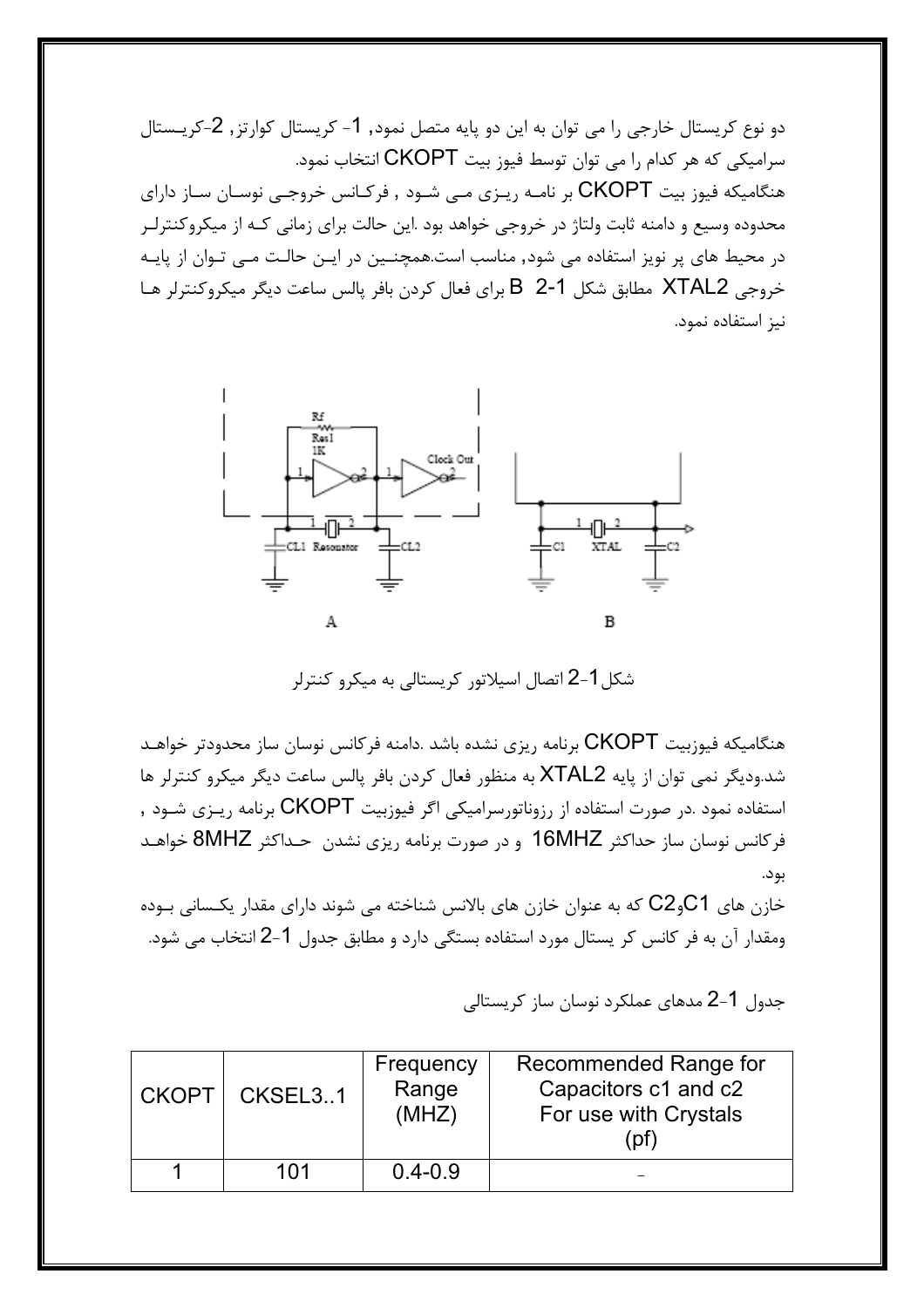دو نوع کریستال خارجی را می توان به این دو پایه متصل نمود, 1- کریستال کوارتز, 2-کریـستال سرامیکی که هر کدام را می توان توسط فیوز بیت CKOPT انتخاب نمود. هنگامیکه فیوز بیت CKOPT بر نامـه ریـزی مـی شـود , فرکـانس خروجـی نوسـان سـاز دارای .<br>محدوده وسیع و دامنه ثابت ولتاژ در خروجی خواهد بود .این حالت برای زمانی کـه از میکروکنترلـر در محیط های پر نویز استفاده می شود, مناسب است.همچنــین در ایــن حالـت مــی تـوان از پایــه خروجي XTAL2 مطابق شكل B 2-1 براي فعال كردن بافر پالس ساعت ديگر ميكروكنترلر هـا نیز استفاده نمود.



شکل1-2 اتصال اسیلاتور کریستالی به میکرو کنترلر

هنگامیکه فیوزبیت CKOPT برنامه ریزی نشده باشد .دامنه فرکانس نوسان ساز محدودتر خواهـد شد.ودیگر نمی توان از پایه XTAL2 به منظور فعال کردن بافر پالس ساعت دیگر میکرو کنترلر ها استفاده نمود .در صورت استفاده از رزوناتورسرامیکی اگر فیوزبیت CKOPT برنامه ریـزی شـود , فركانس نوسان ساز حداكثر 16MHZ و در صورت برنامه ريزي نشدن حـداكثر 8MHZ خواهـد بود.

خازن های C $2$ وC $2$  که به عنوان خازن های بالانس شناخته می شوند دارای مقدار یکـسانی بـوده ومقدار آن به فر کانس کر پستال مورد استفاده بستگی دارد و مطابق جدول 1-2 انتخاب می شود.

جدول 1-2 مدهای عملکرد نوسان ساز کریستالی

| <b>CKOPT</b> | CKSEL3.1 | Frequency<br>Range<br>(MHZ) | Recommended Range for<br>Capacitors c1 and c2<br>For use with Crystals<br>∶pf |
|--------------|----------|-----------------------------|-------------------------------------------------------------------------------|
|              | 101      | $0.4 - 0.9$                 |                                                                               |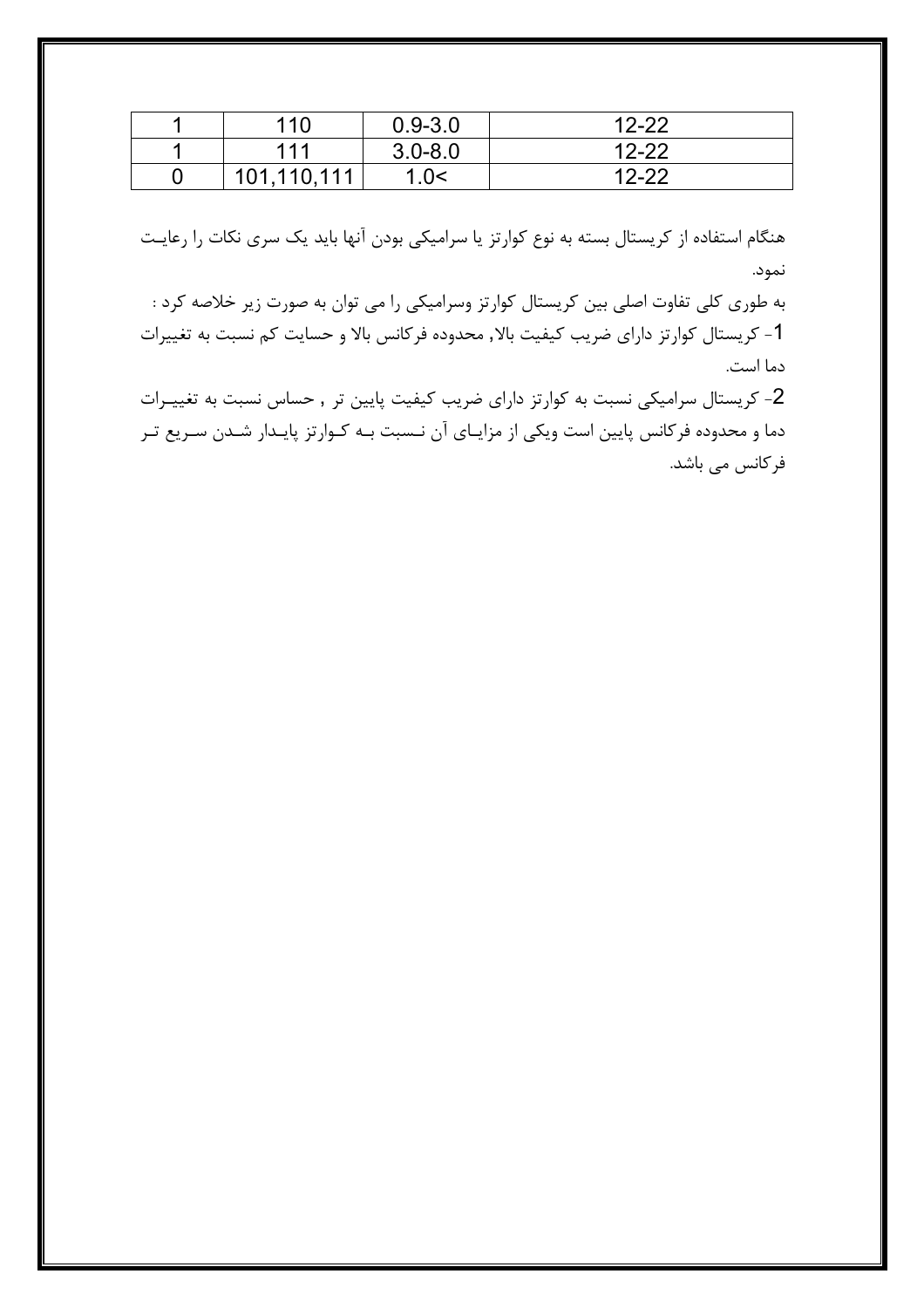| 110         | $0.9 - 3.0$ | $12 - 22$ |
|-------------|-------------|-----------|
| 111         | $3.0 - 8.0$ | $12 - 22$ |
| 101,110,111 | .0<         | $12 - 22$ |

هنگام استفاده از کریستال بسته به نوع کوارتز یا سرامیکی بودن آنها باید یک سری نکات را رعایـت نمود.

به طوری کلی تفاوت اصلی بین کریستال کوارتز وسرامیکی را می توان به صورت زیر خلاصه کرد : 1- کریستال کوارتز دارای ضریب کیفیت بالا, محدوده فرکانس بالا و حسایت کم نسبت به تغییرات دما است.

2- کریستال سرامیکی نسبت به کوارتز دارای ضریب کیفیت پایین تر , حساس نسبت به تغییـرات دما و محدوده فرکانس پایین است ویکی از مزایـای آن نـسبت بـه کـوارتز پایـدار شـدن سـریع تـر فركانس مى باشد.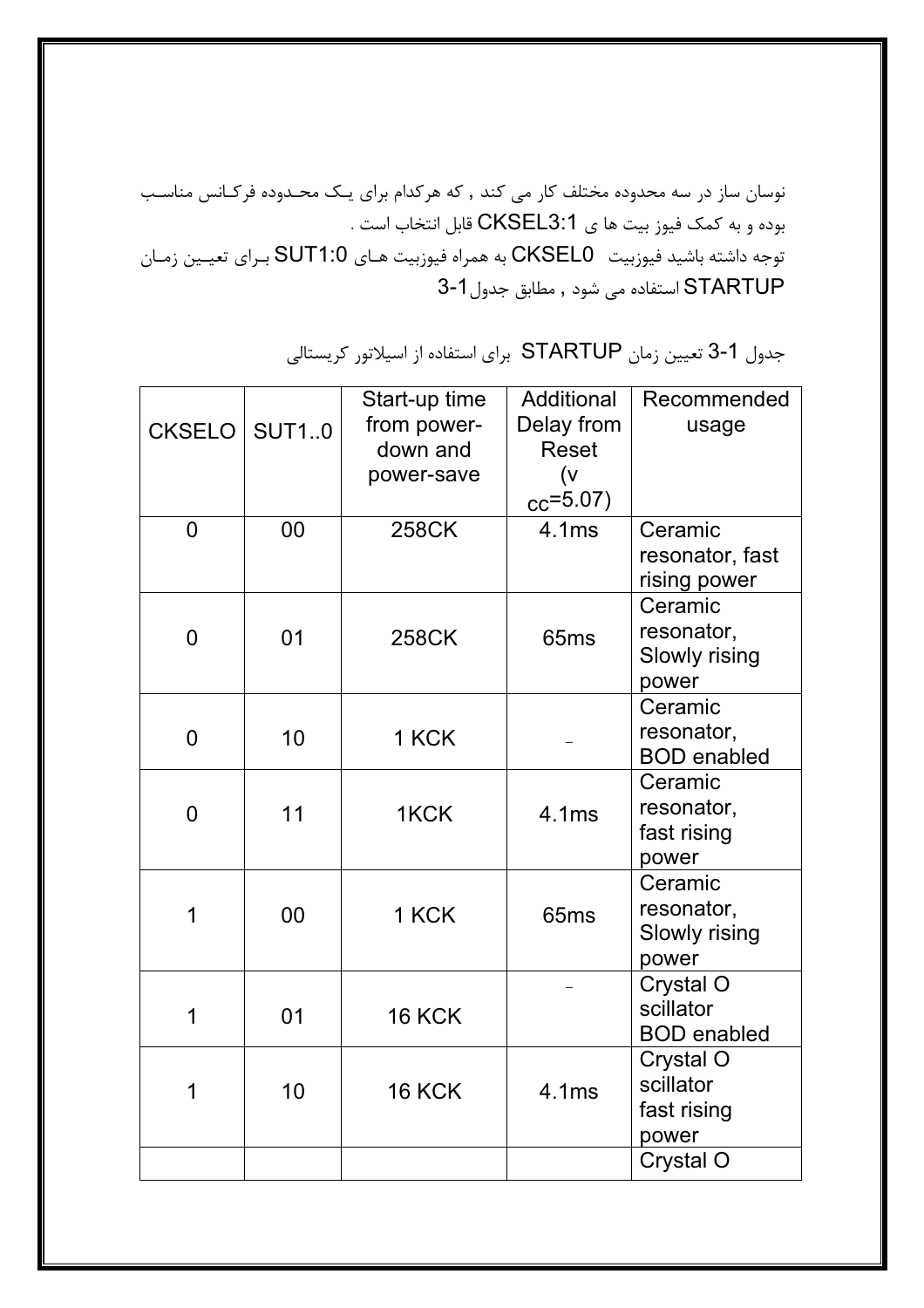.<br>نوسان ساز در سه محدوده مختلف کار می کند , که هرکدام برای یـک محـدوده فرکـانس مناسـب . بوده و به كمك فيوز بيت ها ي CKSEL3:1 قابل انتخاب است توجه داشته باشيد فيوزبيت CKSEL0 به همراه فيوزبيت هـاي SUT1:0 بـراي تعيـين زمـان STARTUP استفاده می شود , مطابق جدول1-3

جدول 1-3 تعيين زمان STARTUP براي استفاده از اسيلاتور كريستالي

|                |    | Start-up time | Additional       | Recommended        |
|----------------|----|---------------|------------------|--------------------|
| CKSELO   SUT10 |    | from power-   | Delay from       | usage              |
|                |    | down and      | <b>Reset</b>     |                    |
|                |    | power-save    | (v               |                    |
|                |    |               | $_{cc} = 5.07$ ) |                    |
| $\overline{0}$ | 00 | <b>258CK</b>  | 4.1ms            | Ceramic            |
|                |    |               |                  | resonator, fast    |
|                |    |               |                  | rising power       |
|                |    |               |                  | Ceramic            |
| $\overline{0}$ | 01 | <b>258CK</b>  | 65 <sub>ms</sub> | resonator,         |
|                |    |               |                  | Slowly rising      |
|                |    |               |                  | power              |
|                |    |               |                  | Ceramic            |
| $\overline{0}$ | 10 | 1 KCK         |                  | resonator,         |
|                |    |               |                  | <b>BOD</b> enabled |
|                |    |               |                  | Ceramic            |
| $\overline{0}$ | 11 | 1KCK          | 4.1ms            | resonator,         |
|                |    |               |                  | fast rising        |
|                |    |               |                  | power              |
|                |    |               |                  | Ceramic            |
| 1              | 00 | 1 KCK         | 65 <sub>ms</sub> | resonator,         |
|                |    |               |                  | Slowly rising      |
|                |    |               |                  | power              |
|                |    |               |                  | Crystal O          |
| 1              | 01 | <b>16 KCK</b> |                  | scillator          |
|                |    |               |                  | <b>BOD</b> enabled |
|                |    |               |                  | Crystal O          |
| 1              | 10 | <b>16 KCK</b> | 4.1ms            | scillator          |
|                |    |               |                  | fast rising        |
|                |    |               |                  | power              |
|                |    |               |                  | Crystal O          |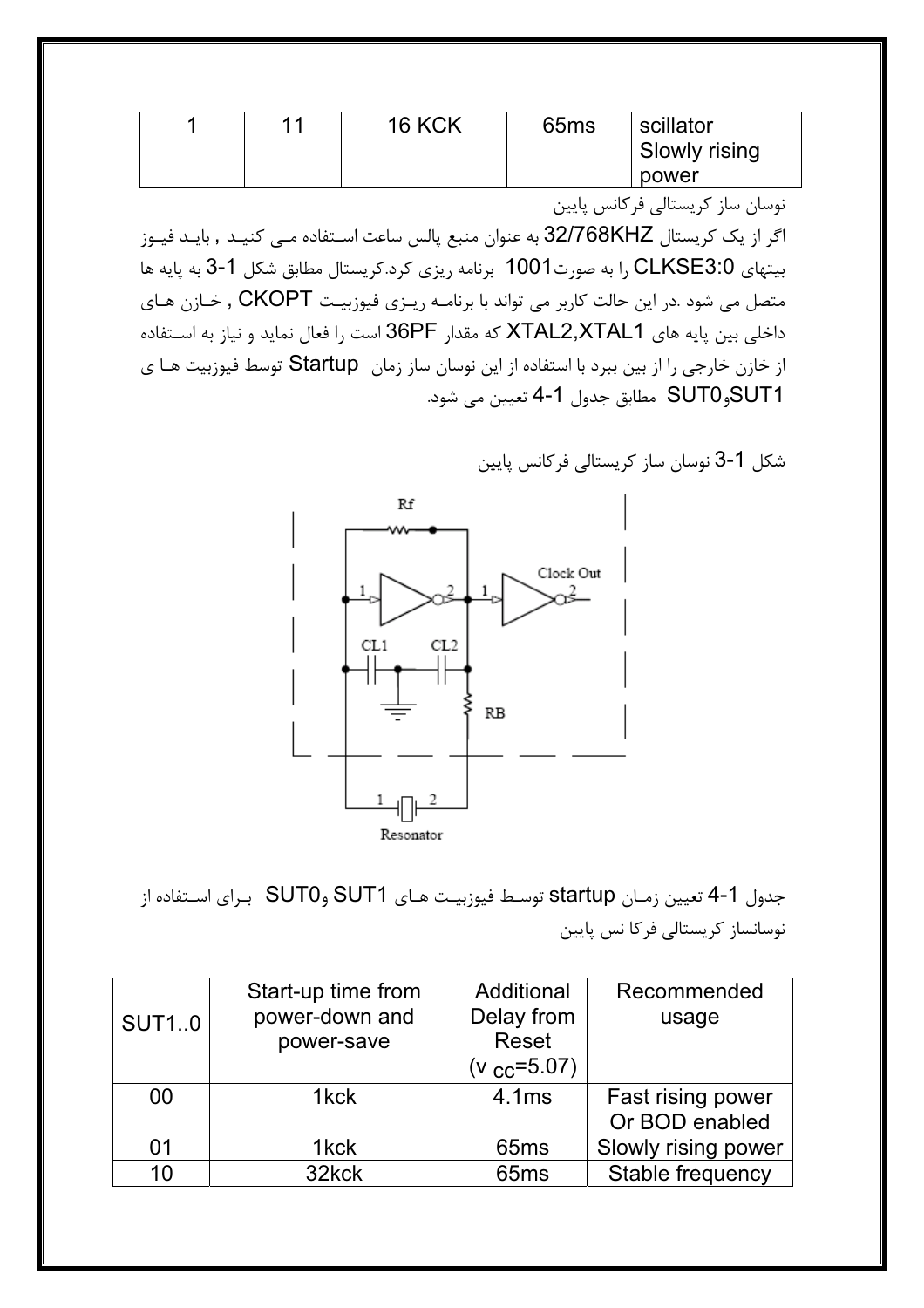| 44 | <b>16 KCK</b> | 65 <sub>ms</sub> | scillator     |
|----|---------------|------------------|---------------|
|    |               |                  | Slowly rising |
|    |               |                  | power         |

نوسان ساز كريستالي فركانس يايين

اگر از یک کریستال 32/768KHZ به عنوان منبع پالس ساعت اسـتفاده مــی کنیــد , بایــد فیــوز بیتهای CLKSE3:0 را به صورت1001 برنامه ریزی کرد.کریستال مطابق شکل 1-3 به پایه ها متصل می شود .در این حالت کاربر می تواند با برنامـه ریـزی فیوزبیـت CKOPT , خـازن هـای داخلي بين پايه هاي XTAL2,XTAL1 كه مقدار 36PF است را فعال نمايد و نياز به اســتفاده از خازن خارجي را از بين ببرد با استفاده از اين نوسان ساز زمان Startup توسط فيوزبيت هـا ي SUT1وSUT0 مطابق جدول 1-4 تعيين مي شود.

شكل 1-3 نوسان ساز كريستالي فركانس پايين



جدول 1-4 تعيين زمـان startup توسـط فيوزبيـت هـاي SUT1 وSUT0 بـراي اسـتفاده از نوسانساز کریستالی فرکا نس پایین

|              | Start-up time from | Additional            | Recommended         |
|--------------|--------------------|-----------------------|---------------------|
| <b>SUT10</b> | power-down and     | Delay from            | usage               |
|              | power-save         | <b>Reset</b>          |                     |
|              |                    | ( $v_{\rm CC}$ =5.07) |                     |
| 00           | 1kck               | 4.1ms                 | Fast rising power   |
|              |                    |                       | Or BOD enabled      |
| 01           | 1 <sub>kck</sub>   | 65 <sub>ms</sub>      | Slowly rising power |
| 10           | 32kck              | 65 <sub>ms</sub>      | Stable frequency    |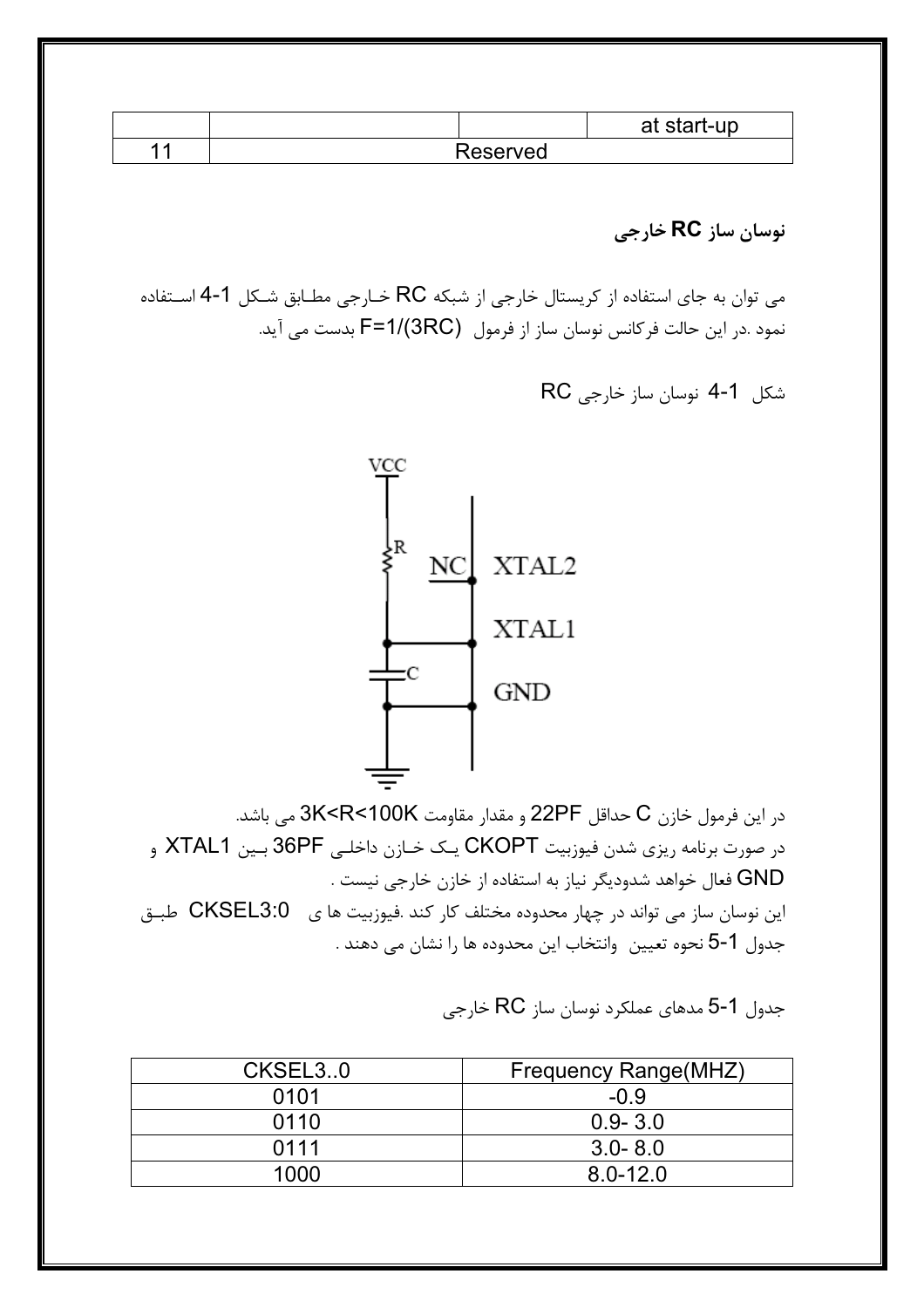|   |          | at start-up |
|---|----------|-------------|
| ◢ | Reserved |             |

نوسان ساز RC خارجي

می توان به جای استفاده از کریستال خارجی از شبکه RC خـارجی مطـابق شـکل 1-4 اســتفاده نمود .در این حالت فرکانس نوسان ساز از فرمول F=1/(3RC) بدست می آید.

شکل 1-4 نوسان ساز خارجی RC



در این فرمول خازن C حداقل 22PF و مقدار مقاومت 3K<R<100K می باشد. در صورت برنامه ریزی شدن فیوزبیت CKOPT یک خـازن داخلـی 36PF بـین XTAL1 و GND فعال خواهد شدوديگر نياز به استفاده از خازن خارجي نيست . این نوسان ساز می تواند در چهار محدوده مختلف کار کند .فیوزبیت ها ی CKSEL3:0 طبـق جدول 1-5 نحوه تعيين وانتخاب اين محدوده ها را نشان مي دهند .

| CKSEL30 | Frequency Range(MHZ) |
|---------|----------------------|
| 0101    | $-0.9$               |
| 0110    | $0.9 - 3.0$          |
| 0111    | $3.0 - 8.0$          |
| 1000    | $8.0 - 12.0$         |

جدول 1-5 مدهای عملکرد نوسان ساز RC خارجی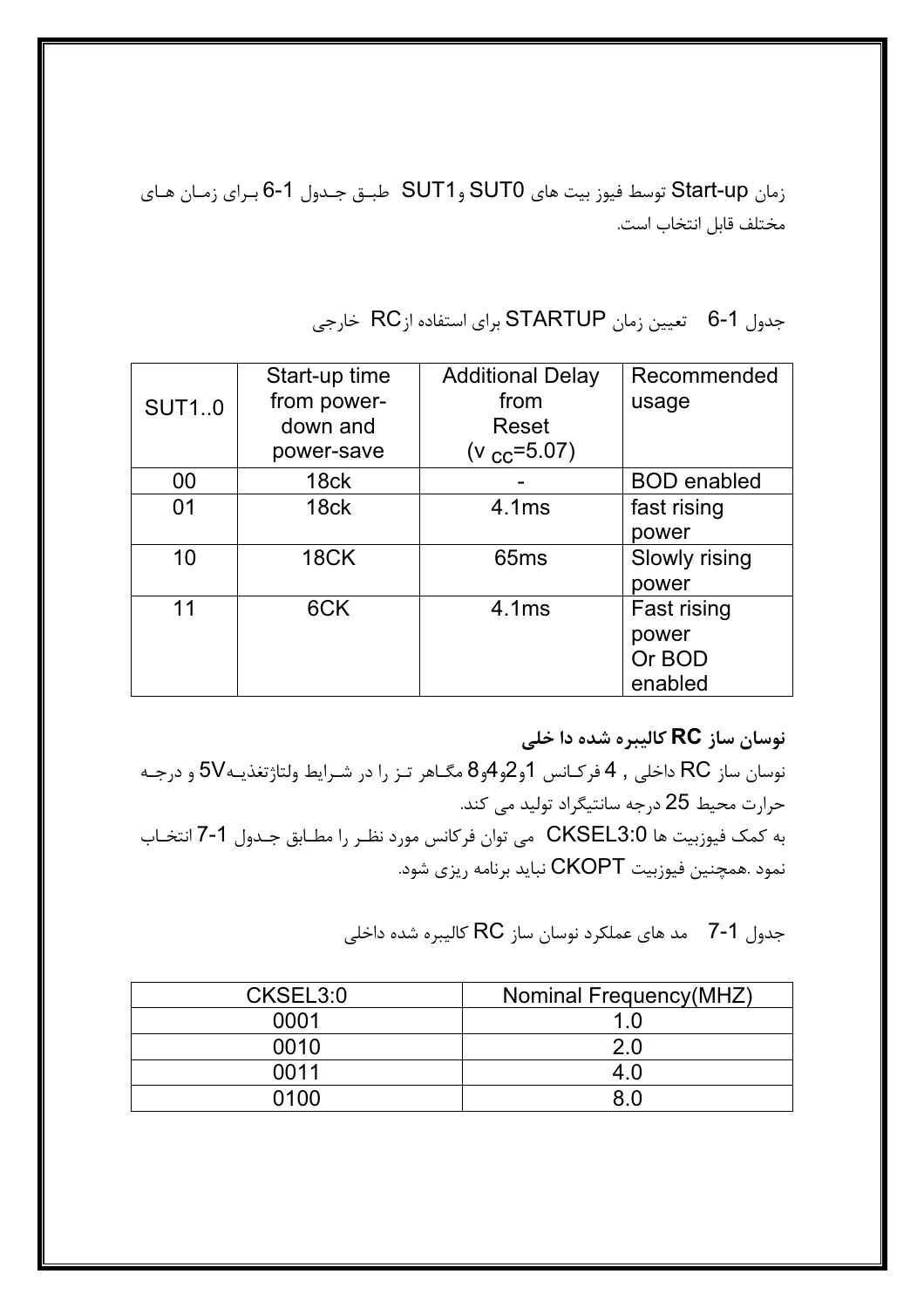زمان Start-up توسط فيوز بيت هاي SUT0 وSUT1 طبـق جـدول 1-6 بـراي زمـان هـاي مختلف قابل انتخاب است.

جدول 1-6 تعيين زمان STARTUP براي استفاده ازRC خارجي

|              | Start-up time | <b>Additional Delay</b> | Recommended        |
|--------------|---------------|-------------------------|--------------------|
| <b>SUT10</b> | from power-   | from                    | usage              |
|              | down and      | <b>Reset</b>            |                    |
|              | power-save    | $(v_{cc} = 5.07)$       |                    |
| 00           | 18ck          |                         | <b>BOD</b> enabled |
| 01           | 18ck          | 4.1ms                   | fast rising        |
|              |               |                         | power              |
| 10           | <b>18CK</b>   | 65 <sub>ms</sub>        | Slowly rising      |
|              |               |                         | power              |
| 11           | 6CK           | 4.1ms                   | Fast rising        |
|              |               |                         | power              |
|              |               |                         | Or BOD             |
|              |               |                         | enabled            |

نوسان ساز **RC** کالیبره شده دا خلی<br>محمد محامل مانسیاسی که ده

 $-1$ نوسان ساز  $\rm RC$  داخلی , 4 فرکـانس  $1$ و $2$ و $4$ و $3$  مگـاهر تـز را در شـرايط ولتاژتغذيـه $\rm VC$  و درجـه حرارت محيط 25 درجه سانتيگراد توليد مي كند. به كمك فيوزبيت ها CKSEL3:0 مي توان فركانس مورد نظـر را مطـابق جـدول 1-7 انتخـاب نمود .همچنین فیوزبیت CKOPT نباید برنامه ریزی شود.

جدول 1-7 مد های عملکرد نوسان ساز RC کالیبره شده داخلی

| CKSEL3:0 | Nominal Frequency(MHZ) |
|----------|------------------------|
| 0001     | 1.0                    |
| 0010     | 2.0                    |
| 0011     | 4.0                    |
| 0100     | ጸ በ                    |
|          |                        |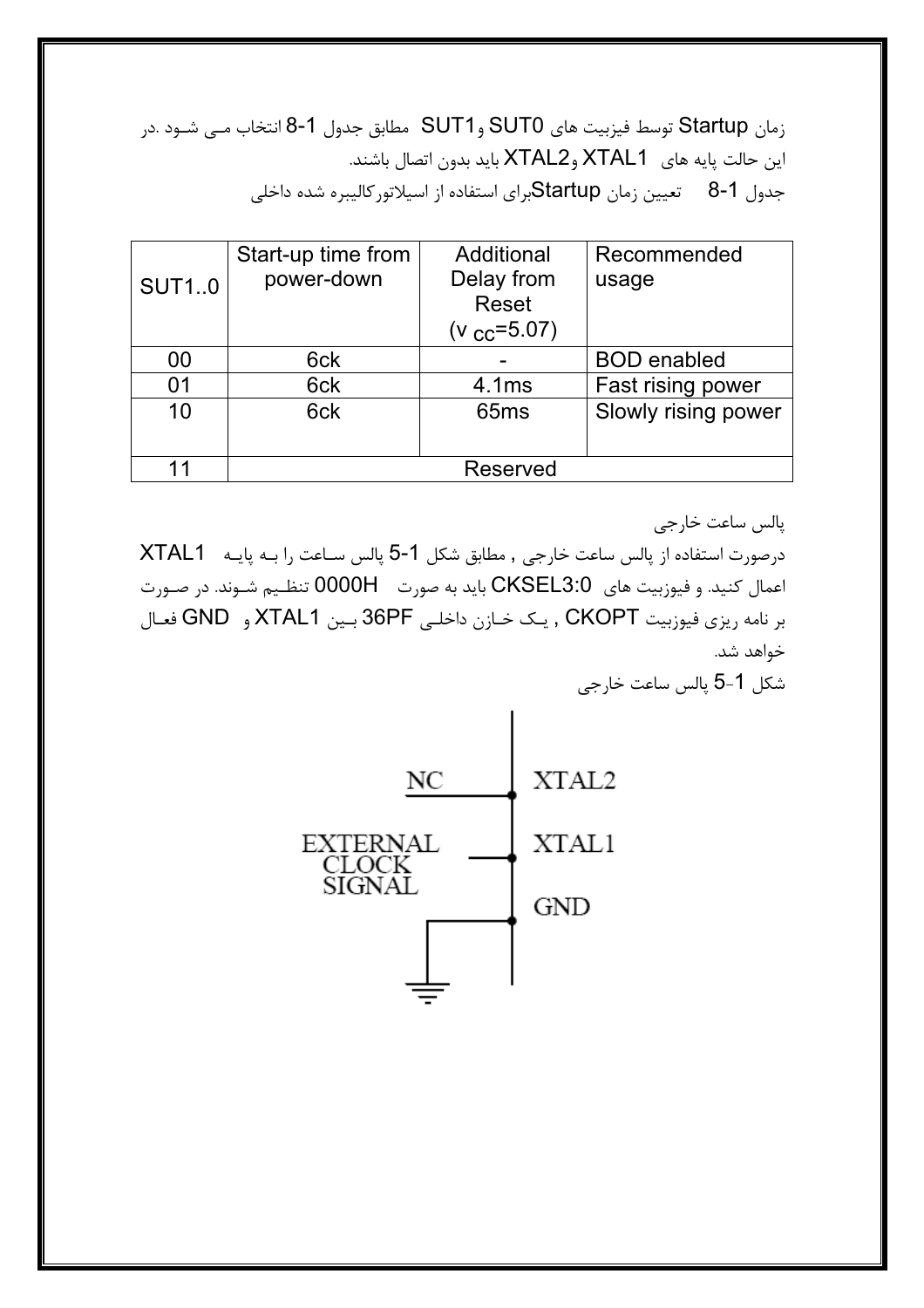زمان Startup توسط فيزبيت هاي SUT0 وSUT1 مطابق جدول 1-8 انتخاب مــي شــود .در این حالت پایه های XTAL1 وXTAL2 باید بدون اتصال باشند. جدول 1-8 تعيين زمان Startupبراي استفاده از اسيلاتور كاليبره شده داخلي

| <b>SUT10</b> | Start-up time from<br>power-down | Additional<br>Delay from<br><b>Reset</b><br>(v $_{\rm CC}$ =5.07) | Recommended<br>usage |
|--------------|----------------------------------|-------------------------------------------------------------------|----------------------|
| 00           | 6ck                              |                                                                   | <b>BOD</b> enabled   |
| 01           | 6ck                              | 4.1ms                                                             | Fast rising power    |
| 10           | 6ck                              | 65 <sub>ms</sub>                                                  | Slowly rising power  |
| 11           |                                  | Reserved                                                          |                      |

پالس ساعت خارجي

درصورت استفاده از پالس ساعت خارجي , مطابق شكل 1-5 پالس سـاعت را بـه پايـه XTAL1 اعمال كنيد. و فيوزبيت هاي CKSEL3:0 بايد به صورت 0000H تنظـيم شـوند. در صـورت بر نامه ریزی فیوزبیت CKOPT , یک خـازن داخلـی 36PF بـین XTAL1 و GND فعـال خواهد شد.

شكل 1-5 يالس ساعت خارجي